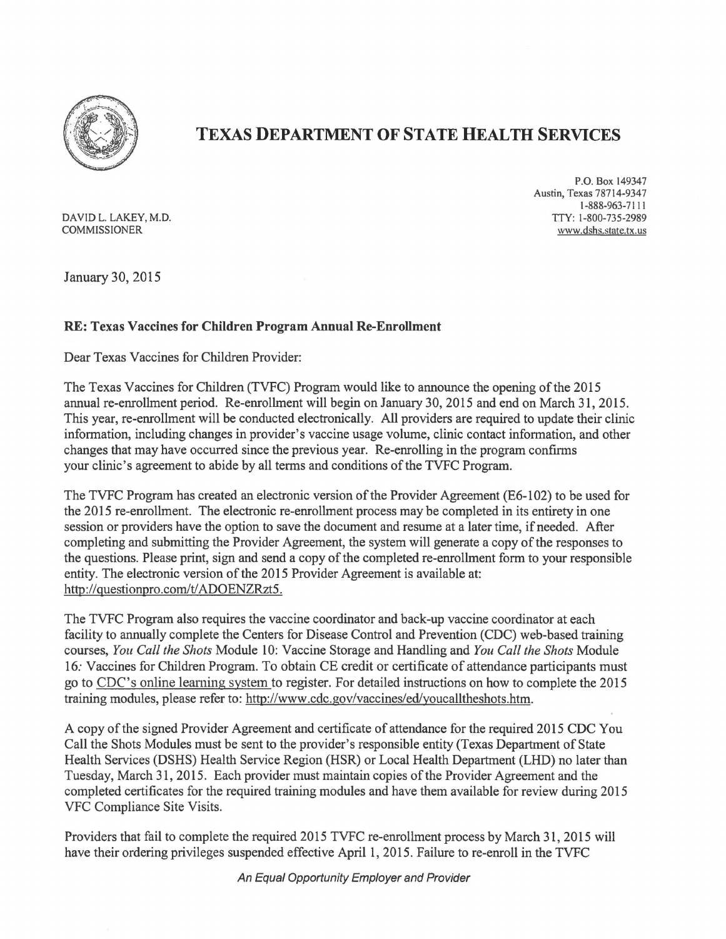

## TEXAS DEPARTMENT OF STATE HEALTH SERVICES

DAVID L. LAKEY, M.D.<br>COMMISSIONER

P.O. Box 149347 Austin, Texas 78714-9347 1-888-963-7111<br>TTY: 1-800-735-2989 www.dshs.state.tx.us

January 30, 2015

## RE: Texas Vaccines for Children Program Annual Re-Enrollment

Dear Texas Vaccines for Children Provider:

The Texas Vaccines for Children (TVFC) Program would like to announce the opening of the 2015 annual re-enrollment period. Re-enrollment will begin on January 30, 2015 and end on March 31, 2015. This year, re-enrollment will be conducted electronically. All providers are required to update their clinic information, including changes in provider's vaccine usage volume, clinic contact information, and other changes that may have occurred since the previous year. Re-enrolling in the program confirms your clinic's agreement to abide by all terms and conditions of the TVFC Program.

The TVFC Program has created an electronic version ofthe Provider Agreement (E6-102) to be used for the 2015 re-enrollment. The electronic re-enrollment process may be completed in its entirety in one session or providers have the option to save the document and resume at a later time, if needed. After completing and submitting the Provider Agreement, the system will generate a copy ofthe responses to the questions. Please print, sign and send a copy of the completed re-enrollment form to your responsible entity. The electronic version of the 2015 Provider Agreement is available at: http://questionpro.com/t/ADOENZRzt5.

The TVFC Program also requires the vaccine coordinator and back-up vaccine coordinator at each facility to annually complete the Centers for Disease Control and Prevention (CDC) web-based training courses, *You Call the Shots* Module 10: Vaccine Storage and Handling and *You Call the Shots* Module 16: Vaccines for Children Program. To obtain CE credit or certificate of attendance participants must go to CDC's online leaming system to register. For detailed instructions on how to complete the 2015 training modules, please refer to: http://www.cdc.gov/vaccines/edlyoucalltheshots.htm.

A copy ofthe signed Provider Agreement and certificate of attendance for the required 2015 CDC You Call the Shots Modules must be sent to the provider's responsible entity (Texas Department of State Health Services (DSHS) Health Service Region (HSR) or Local Health Department (LHD) no later than Tuesday, March 31, 2015. Each provider must maintain copies of the Provider Agreement and the completed certificates for the required training modules and have them available for review during 2015 VFC Compliance Site Visits.

Providers that fail to complete the required 2015 TVFC re-enrollment process by March 31, 2015 will have their ordering privileges suspended effective April 1, 2015. Failure to re-enroll in the TVFC

An Equal Opportunity Employer and Provider